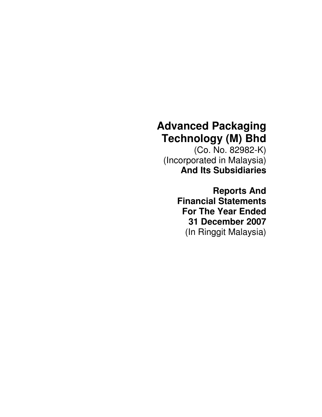# **Advanced Packaging Technology (M) Bhd**

(Co. No. 82982-K) (Incorporated in Malaysia) **And Its Subsidiaries**

> **Reports And Financial Statements For The Year Ended 31 December 2007** (In Ringgit Malaysia)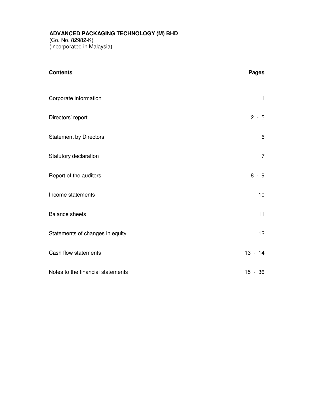#### **ADVANCED PACKAGING TECHNOLOGY (M) BHD**

(Co. No. 82982-K) (Incorporated in Malaysia)

| <b>Contents</b>                   | <b>Pages</b>    |
|-----------------------------------|-----------------|
| Corporate information             | 1               |
| Directors' report                 | $2 - 5$         |
| <b>Statement by Directors</b>     | 6               |
| Statutory declaration             | $\overline{7}$  |
| Report of the auditors            | $8 - 9$         |
| Income statements                 | 10              |
| <b>Balance sheets</b>             | 11              |
| Statements of changes in equity   | 12 <sub>2</sub> |
| Cash flow statements              | $13 - 14$       |
| Notes to the financial statements | $15 - 36$       |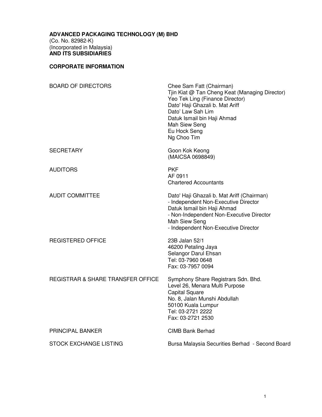#### **CORPORATE INFORMATION**

| <b>BOARD OF DIRECTORS</b>         | Chee Sam Fatt (Chairman)<br>Tjin Kiat @ Tan Cheng Keat (Managing Director)<br>Yeo Tek Ling (Finance Director)<br>Dato' Haji Ghazali b. Mat Ariff<br>Dato' Law Sah Lim<br>Datuk Ismail bin Haji Ahmad<br>Mah Siew Seng<br>Eu Hock Seng<br>Ng Choo Tim |
|-----------------------------------|------------------------------------------------------------------------------------------------------------------------------------------------------------------------------------------------------------------------------------------------------|
| SECRETARY                         | Goon Kok Keong<br>(MAICSA 0698849)                                                                                                                                                                                                                   |
| <b>AUDITORS</b>                   | <b>PKF</b><br>AF 0911<br><b>Chartered Accountants</b>                                                                                                                                                                                                |
| <b>AUDIT COMMITTEE</b>            | Dato' Haji Ghazali b. Mat Ariff (Chairman)<br>- Independent Non-Executive Director<br>Datuk Ismail bin Haji Ahmad<br>- Non-Independent Non-Executive Director<br>Mah Siew Seng<br>- Independent Non-Executive Director                               |
| <b>REGISTERED OFFICE</b>          | 23B Jalan 52/1<br>46200 Petaling Jaya<br>Selangor Darul Ehsan<br>Tel: 03-7960 0648<br>Fax: 03-7957 0094                                                                                                                                              |
| REGISTRAR & SHARE TRANSFER OFFICE | Symphony Share Registrars Sdn. Bhd.<br>Level 26, Menara Multi Purpose<br><b>Capital Square</b><br>No. 8, Jalan Munshi Abdullah<br>50100 Kuala Lumpur<br>Tel: 03-2721 2222<br>Fax: 03-2721 2530                                                       |
| PRINCIPAL BANKER                  | <b>CIMB Bank Berhad</b>                                                                                                                                                                                                                              |
| STOCK EXCHANGE LISTING            | Bursa Malaysia Securities Berhad - Second Board                                                                                                                                                                                                      |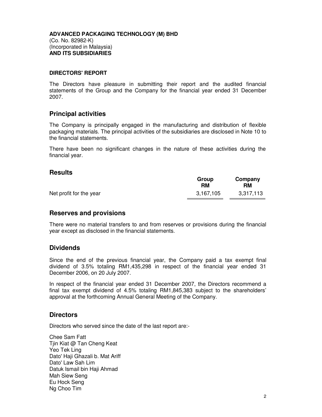#### **DIRECTORS' REPORT**

The Directors have pleasure in submitting their report and the audited financial statements of the Group and the Company for the financial year ended 31 December 2007.

#### **Principal activities**

The Company is principally engaged in the manufacturing and distribution of flexible packaging materials. The principal activities of the subsidiaries are disclosed in Note 10 to the financial statements.

There have been no significant changes in the nature of these activities during the financial year.

#### **Results**

|                         | Group<br>RM | Company<br>RM |
|-------------------------|-------------|---------------|
| Net profit for the year | 3,167,105   | 3,317,113     |

#### **Reserves and provisions**

There were no material transfers to and from reserves or provisions during the financial year except as disclosed in the financial statements.

#### **Dividends**

Since the end of the previous financial year, the Company paid a tax exempt final dividend of 3.5% totaling RM1,435,298 in respect of the financial year ended 31 December 2006, on 20 July 2007.

In respect of the financial year ended 31 December 2007, the Directors recommend a final tax exempt dividend of 4.5% totaling RM1,845,383 subject to the shareholders' approval at the forthcoming Annual General Meeting of the Company.

#### **Directors**

Directors who served since the date of the last report are:-

Chee Sam Fatt Tjin Kiat @ Tan Cheng Keat Yeo Tek Ling Dato' Haji Ghazali b. Mat Ariff Dato' Law Sah Lim Datuk Ismail bin Haji Ahmad Mah Siew Seng Eu Hock Seng Ng Choo Tim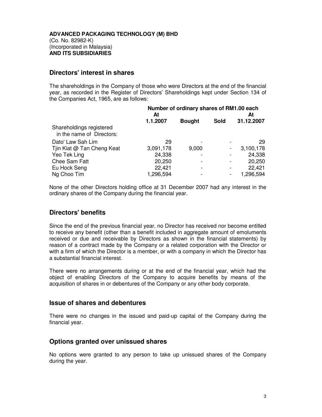#### **Directors' interest in shares**

The shareholdings in the Company of those who were Directors at the end of the financial year, as recorded in the Register of Directors' Shareholdings kept under Section 134 of the Companies Act, 1965, are as follows:

|                                                       | Number of ordinary shares of RM1.00 each<br>At<br>At |               |      |            |
|-------------------------------------------------------|------------------------------------------------------|---------------|------|------------|
|                                                       | 1.1.2007                                             | <b>Bought</b> | Sold | 31.12.2007 |
| Shareholdings registered<br>in the name of Directors: |                                                      |               |      |            |
| Dato' Law Sah Lim                                     | 29                                                   |               |      | 29         |
| Tjin Kiat @ Tan Cheng Keat                            | 3,091,178                                            | 9,000         |      | 3,100,178  |
| Yeo Tek Ling                                          | 24,338                                               |               |      | 24,338     |
| Chee Sam Fatt                                         | 20,250                                               |               |      | 20,250     |
| Eu Hock Seng                                          | 22,421                                               |               | ۰    | 22,421     |
| Ng Choo Tim                                           | 1,296,594                                            |               |      | 1,296,594  |

None of the other Directors holding office at 31 December 2007 had any interest in the ordinary shares of the Company during the financial year.

#### **Directors' benefits**

Since the end of the previous financial year, no Director has received nor become entitled to receive any benefit (other than a benefit included in aggregate amount of emoluments received or due and receivable by Directors as shown in the financial statements) by reason of a contract made by the Company or a related corporation with the Director or with a firm of which the Director is a member, or with a company in which the Director has a substantial financial interest.

There were no arrangements during or at the end of the financial year, which had the object of enabling Directors of the Company to acquire benefits by means of the acquisition of shares in or debentures of the Company or any other body corporate.

#### **Issue of shares and debentures**

There were no changes in the issued and paid-up capital of the Company during the financial year.

#### **Options granted over unissued shares**

No options were granted to any person to take up unissued shares of the Company during the year.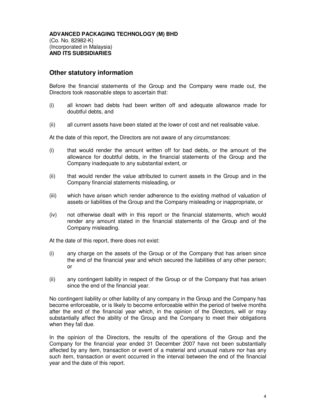#### **Other statutory information**

Before the financial statements of the Group and the Company were made out, the Directors took reasonable steps to ascertain that:

- (i) all known bad debts had been written off and adequate allowance made for doubtful debts, and
- (ii) all current assets have been stated at the lower of cost and net realisable value.

At the date of this report, the Directors are not aware of any circumstances:

- (i) that would render the amount written off for bad debts, or the amount of the allowance for doubtful debts, in the financial statements of the Group and the Company inadequate to any substantial extent, or
- (ii) that would render the value attributed to current assets in the Group and in the Company financial statements misleading, or
- (iii) which have arisen which render adherence to the existing method of valuation of assets or liabilities of the Group and the Company misleading or inappropriate, or
- (iv) not otherwise dealt with in this report or the financial statements, which would render any amount stated in the financial statements of the Group and of the Company misleading.

At the date of this report, there does not exist:

- (i) any charge on the assets of the Group or of the Company that has arisen since the end of the financial year and which secured the liabilities of any other person; or
- (ii) any contingent liability in respect of the Group or of the Company that has arisen since the end of the financial year.

No contingent liability or other liability of any company in the Group and the Company has become enforceable, or is likely to become enforceable within the period of twelve months after the end of the financial year which, in the opinion of the Directors, will or may substantially affect the ability of the Group and the Company to meet their obligations when they fall due.

In the opinion of the Directors, the results of the operations of the Group and the Company for the financial year ended 31 December 2007 have not been substantially affected by any item, transaction or event of a material and unusual nature nor has any such item, transaction or event occurred in the interval between the end of the financial year and the date of this report.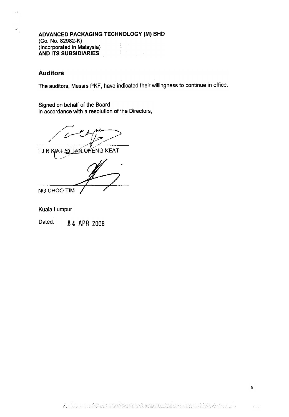### Auditors

 $\widehat{\Sigma}^{\kappa}_{\mathbf{r}}$ 

The auditors, Messrs PKF, have indicated their willingness to continue in office.

Signed on behalf of the Board in accordance with a resolution of 'he Directors,

TJIN KIAT @ TAN CHENG KEAT

NG CHOO TIM

Kuala Lumpur

Dated: 24 APR 2008

 $\langle \hat{\beta}_N \hat{\beta}_N \rangle$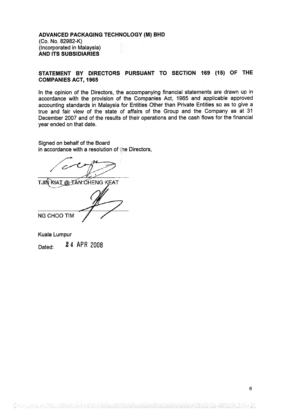#### STATEMENT BY DIRECTORS PURSUANT TO SECTION 169 (15) OF THE COMPANIES ACT, 1965

In the opinion of the Directors, the accompanying financial statements are drawn up in accordance with the provision of the Companies Act, 1965 and applicable approved accounting standards in Malaysia for Entities Other than Private Entities so as to give a true and fair view of the state of affairs of the Group and the Company as at 31 December 2007 and of the results of their operations and the cash flows for the financial year ended on that date.

Signed on behalf of the Board in accordance with a resolution of the Directors,

TJIN KIAT @ TAN CHENG KEAT NG CHOO TIM

Kuala Lumpur

Dated: 24 APR 2008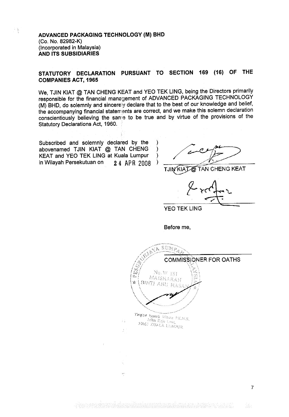$\frac{5}{3}$ 

### STATUTORY DECLARATION PURSUANT TO SECTION 169 (16) OF THE COMPANIES ACT, 1965

We, TJIN KIAT @ TAN CHENG KEAT and YEO TEK LING, being the Directors primarily responsible for the financial management of ADVANCED PACKAGING TECHNOLOGY (M) BHD, do solemnly and sincerely declare that to the best of our knowledge and belief, the accompanying financial statements are correct, and we make this solemn declaration conscientiously believing the same to be true and by virtue of the provisions of the Consulembusity Denoving the Sum

> ) )  $\mathcal{E}$

Subscribed and solemnly declared by the abovenamed TJIN KIAT @ TAN CHENG KEAT and YEO TEK LING at Kuala Lumpur in Wilayah Persekutuan on  $2,4$  APR 2008

/

TJIN KIAT @ TAN CHENG KEAT

YEO TEK LING

Before me,

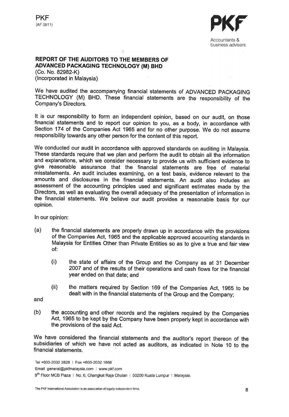



Accountants & business advisers

#### REPORT OF THE AUDITORS TO THE MEMBERS OF ADVANCED PACKAGING TECHNOLOGY (M) BHD

(Co. No. 82982-K) (Incorporated in Malaysia)

We have audited the accompanying financial statements of ADVANCED PACKAGING TECHNOLOGY (M) BHD. These financial statements are the responsibility of the Company's Directors.

It is our responsibility to form an independent opinion, based on our audit, on those financial statements and to report our opinion to you, as a body, in accordance with Section 174 of the Companies Act 1965 and for no other purpose. We do not assume responsibility towards any other person for the content of this report.

We conducted our audit in accordance with approved standards on auditing in Malaysia. These standards require that we plan and perform the audit to obtain all the information and explanations, which we consider necessary to provide us with sufficient evidence to give reasonable assurance that the financial statements are free of material misstatements. An audit includes examining, on a test basis, evidence relevant to the amounts and disclosures in the financial statements. An audit also includes an assessment of the accounting principles used and significant estimates made by the Directors, as well as evaluating the overall adequacy of the presentation of information in the financial statements. We believe our audit provides a reasonable basis for our opinion.

In our opinion:

- (a) the financial statements are properly drawn up in accordance with the provisions of the Companies Act, 1965 and the applicable approved accounting standards in Malaysia for Entities Other than Private Entities so as to give a true and fair view of:
	- (i) the state of affairs of the Group and the Company as at 31 December 2007 and pf the results of their operations and cash flows for the financial year ended on that date; and
	- (ii) the matters required by Section 169 of the Companies Act, 1965 to be dealt with in the financial statements of the Group and the Company;

and

(b) the accounting and other records and the registers required by the Companies Act, 1965 to be kept by the Company have been properly kept in accordance with the provisions of the said Act.

We have considered the financial statements and the auditor's report thereon of the subsidiaries of which we have not acted as auditors, as indicated in Note 10 to the financial statements.

Email general@pkfmalaysia.com I www.pkf.com

Tel +603-2032 3828 I Fax +603-2032 1868

<sup>9&</sup>lt;sup>th</sup> Floor MCB Plaza | No. 6, Changkat Raja Chulan | 50200 Kuala Lumpur | Malaysia.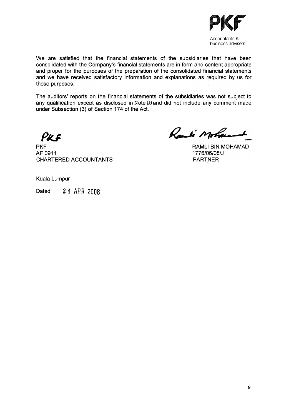

We are satisfied that the financial statements of the subsidiaries that have been consolidated with the Company's financial statements are in form and content appropriate and proper for the purposes of the preparation of the consolidated financial statements and we have received satisfactory information and explanations as required by us for those purposes.

The auditors' reports on the financial statements of the subsidiaries was not subject to any qualification except as disclosed in Note 10 and did not include any comment made under Subsection (3) of Section 174 of the Act.

Puf

PKF AF 0911 CHARTERED ACCOUNTANTS

Randi Mohamment

RAMLI BIN MOHAMAD 1776/06/08/J PARTNER

Kuala Lumpur

Dated: 24 APR 2008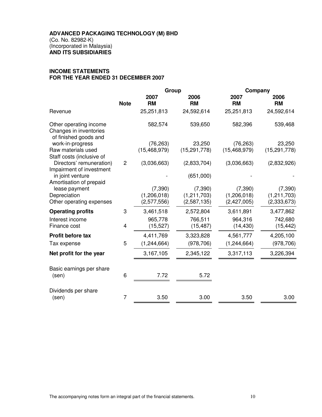#### **INCOME STATEMENTS FOR THE YEAR ENDED 31 DECEMBER 2007**

|                                                                           |                | Group          |                | Company        |                |
|---------------------------------------------------------------------------|----------------|----------------|----------------|----------------|----------------|
|                                                                           |                | 2007           | 2006           | 2007           | 2006           |
|                                                                           | <b>Note</b>    | <b>RM</b>      | <b>RM</b>      | <b>RM</b>      | <b>RM</b>      |
| Revenue                                                                   |                | 25,251,813     | 24,592,614     | 25,251,813     | 24,592,614     |
| Other operating income<br>Changes in inventories<br>of finished goods and |                | 582,574        | 539,650        | 582,396        | 539,468        |
| work-in-progress                                                          |                | (76, 263)      | 23,250         | (76, 263)      | 23,250         |
| Raw materials used<br>Staff costs (inclusive of                           |                | (15, 468, 979) | (15, 291, 778) | (15, 468, 979) | (15, 291, 778) |
| Directors' remuneration)<br>Impairment of investment                      | $\overline{c}$ | (3,036,663)    | (2,833,704)    | (3,036,663)    | (2,832,926)    |
| in joint venture<br>Amortisation of prepaid                               |                |                | (651,000)      |                |                |
| lease payment                                                             |                | (7, 390)       | (7, 390)       | (7, 390)       | (7, 390)       |
| Depreciation                                                              |                | (1, 206, 018)  | (1, 211, 703)  | (1, 206, 018)  | (1, 211, 703)  |
| Other operating expenses                                                  |                | (2,577,556)    | (2,587,135)    | (2,427,005)    | (2, 333, 673)  |
| <b>Operating profits</b>                                                  | 3              | 3,461,518      | 2,572,804      | 3,611,891      | 3,477,862      |
| Interest income                                                           |                | 965,778        | 766,511        | 964,316        | 742,680        |
| Finance cost                                                              | 4              | (15, 527)      | (15, 487)      | (14, 430)      | (15, 442)      |
| Profit before tax                                                         |                | 4,411,769      | 3,323,828      | 4,561,777      | 4,205,100      |
| Tax expense                                                               | 5              | (1, 244, 664)  | (978, 706)     | (1, 244, 664)  | (978, 706)     |
| Net profit for the year                                                   |                | 3,167,105      | 2,345,122      | 3,317,113      | 3,226,394      |
| Basic earnings per share<br>(sen)                                         | 6              | 7.72           | 5.72           |                |                |
| Dividends per share                                                       |                |                |                |                |                |
| (sen)                                                                     | 7              | 3.50           | 3.00           | 3.50           | 3.00           |
|                                                                           |                |                |                |                |                |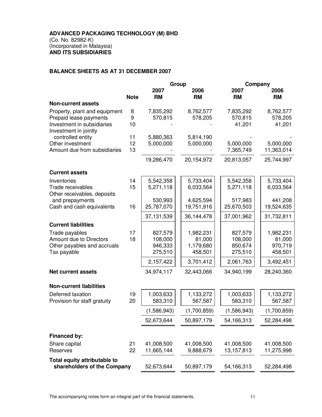#### **BALANCE SHEETS AS AT 31 DECEMBER 2007**

|                                                      |             | Group              |                         | Company            |                       |
|------------------------------------------------------|-------------|--------------------|-------------------------|--------------------|-----------------------|
|                                                      |             | 2007               | 2006                    | 2007               | 2006                  |
|                                                      | <b>Note</b> | <b>RM</b>          | <b>RM</b>               | <b>RM</b>          | <b>RM</b>             |
| <b>Non-current assets</b>                            |             |                    |                         |                    |                       |
| Property, plant and equipment                        | 8<br>9      | 7,835,292          | 8,762,577               | 7,835,292          | 8,762,577             |
| Prepaid lease payments<br>Investment in subsidiaries | 10          | 570,815            | 578,205                 | 570,815<br>41,201  | 578,205<br>41,201     |
| Investment in jointly                                |             |                    |                         |                    |                       |
| controlled entity                                    | 11          | 5,880,363          | 5,814,190               |                    |                       |
| Other investment                                     | 12          | 5,000,000          | 5,000,000               | 5,000,000          | 5,000,000             |
| Amount due from subsidiaries                         | 13          |                    |                         | 7,365,749          | 11,363,014            |
|                                                      |             | 19,286,470         | 20,154,972              | 20,813,057         | 25,744,997            |
| <b>Current assets</b>                                |             |                    |                         |                    |                       |
| Inventories                                          | 14          | 5,542,358          | 5,733,404               | 5,542,358          | 5,733,404             |
| Trade receivables                                    | 15          | 5,271,118          | 6,033,564               | 5,271,118          | 6,033,564             |
| Other receivables, deposits                          |             |                    |                         |                    |                       |
| and prepayments                                      | 16          | 530,993            | 4,625,594<br>19,751,916 | 517,983            | 441,208<br>19,524,635 |
| Cash and cash equivalents                            |             | 25,787,070         |                         | 25,670,503         |                       |
|                                                      |             | 37,131,539         | 36,144,478              | 37,001,962         | 31,732,811            |
| <b>Current liabilities</b>                           |             |                    |                         |                    |                       |
| Trade payables                                       | 17          | 827,579            | 1,982,231               | 827,579            | 1,982,231             |
| Amount due to Directors                              | 18          | 108,000            | 81,000                  | 108,000            | 81,000                |
| Other payables and accruals<br>Tax payable           |             | 946,333<br>275,510 | 1,179,680<br>458,501    | 850,674<br>275,510 | 970,719<br>458,501    |
|                                                      |             | 2,157,422          | 3,701,412               | 2,061,763          | 3,492,451             |
|                                                      |             |                    |                         |                    |                       |
| <b>Net current assets</b>                            |             | 34,974,117         | 32,443,066              | 34,940,199         | 28,240,360            |
| <b>Non-current liabilities</b>                       |             |                    |                         |                    |                       |
| Deferred taxation                                    | 19          | 1,003,633          | 1,133,272               | 1,003,633          | 1,133,272             |
| Provision for staff gratuity                         | 20          | 583,310            | 567,587                 | 583,310            | 567,587               |
|                                                      |             | (1,586,943)        | (1,700,859)             | (1,586,943)        | (1,700,859)           |
|                                                      |             | 52,673,644         | 50,897,179              | 54,166,313         | 52,284,498            |
| Financed by:                                         |             |                    |                         |                    |                       |
| Share capital                                        | 21          | 41,008,500         | 41,008,500              | 41,008,500         | 41,008,500            |
| Reserves                                             | 22          | 11,665,144         | 9,888,679               | 13, 157, 813       | 11,275,998            |
| Total equity attributable to                         |             |                    |                         |                    |                       |
| shareholders of the Company                          |             | 52,673,644         | 50,897,179              | 54,166,313         | 52,284,498            |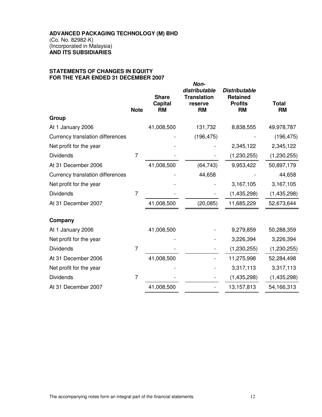#### **STATEMENTS OF CHANGES IN EQUITY FOR THE YEAR ENDED 31 DECEMBER 2007**

|                                  | <b>Note</b>    | <b>Share</b><br>Capital<br><b>RM</b> | Non-<br>distributable<br><b>Translation</b><br>reserve<br><b>RM</b> | <b>Distributable</b><br><b>Retained</b><br><b>Profits</b><br><b>RM</b> | <b>Total</b><br><b>RM</b> |
|----------------------------------|----------------|--------------------------------------|---------------------------------------------------------------------|------------------------------------------------------------------------|---------------------------|
| Group                            |                |                                      |                                                                     |                                                                        |                           |
| At 1 January 2006                |                | 41,008,500                           | 131,732                                                             | 8,838,555                                                              | 49,978,787                |
| Currency translation differences |                |                                      | (196, 475)                                                          |                                                                        | (196, 475)                |
| Net profit for the year          |                |                                      |                                                                     | 2,345,122                                                              | 2,345,122                 |
| <b>Dividends</b>                 | 7              |                                      |                                                                     | (1, 230, 255)                                                          | (1, 230, 255)             |
| At 31 December 2006              |                | 41,008,500                           | (64, 743)                                                           | 9,953,422                                                              | 50,897,179                |
| Currency translation differences |                |                                      | 44,658                                                              |                                                                        | 44,658                    |
| Net profit for the year          |                |                                      |                                                                     | 3,167,105                                                              | 3,167,105                 |
| <b>Dividends</b>                 | $\overline{7}$ |                                      |                                                                     | (1,435,298)                                                            | (1,435,298)               |
| At 31 December 2007              |                | 41,008,500                           | (20, 085)                                                           | 11,685,229                                                             | 52,673,644                |
| Company                          |                |                                      |                                                                     |                                                                        |                           |
| At 1 January 2006                |                | 41,008,500                           |                                                                     | 9,279,859                                                              | 50,288,359                |
| Net profit for the year          |                |                                      |                                                                     | 3,226,394                                                              | 3,226,394                 |
| <b>Dividends</b>                 | $\overline{7}$ |                                      |                                                                     | (1, 230, 255)                                                          | (1, 230, 255)             |
| At 31 December 2006              |                | 41,008,500                           |                                                                     | 11,275,998                                                             | 52,284,498                |
| Net profit for the year          |                |                                      |                                                                     | 3,317,113                                                              | 3,317,113                 |
| <b>Dividends</b>                 | $\overline{7}$ |                                      |                                                                     | (1,435,298)                                                            | (1,435,298)               |
| At 31 December 2007              |                | 41,008,500                           |                                                                     | 13,157,813                                                             | 54,166,313                |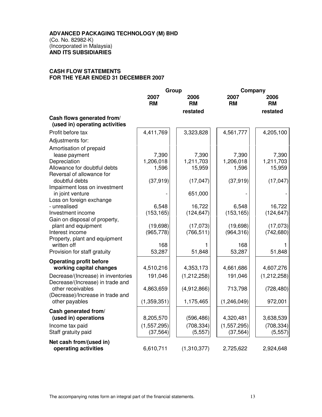#### **CASH FLOW STATEMENTS FOR THE YEAR ENDED 31 DECEMBER 2007**

|                                                                                                                                                                                                                                          | Group                                             |                                                                | Company                                           |                                                     |
|------------------------------------------------------------------------------------------------------------------------------------------------------------------------------------------------------------------------------------------|---------------------------------------------------|----------------------------------------------------------------|---------------------------------------------------|-----------------------------------------------------|
|                                                                                                                                                                                                                                          | 2007<br><b>RM</b>                                 | 2006<br><b>RM</b><br>restated                                  | 2007<br><b>RM</b>                                 | 2006<br><b>RM</b><br>restated                       |
| Cash flows generated from/<br>(used in) operating activities                                                                                                                                                                             |                                                   |                                                                |                                                   |                                                     |
| Profit before tax                                                                                                                                                                                                                        | 4,411,769                                         | 3,323,828                                                      | 4,561,777                                         | 4,205,100                                           |
| Adjustments for:                                                                                                                                                                                                                         |                                                   |                                                                |                                                   |                                                     |
| Amortisation of prepaid<br>lease payment<br>Depreciation<br>Allowance for doubtful debts<br>Reversal of allowance for<br>doubtful debts<br>Impairment loss on investment<br>in joint venture<br>Loss on foreign exchange<br>- unrealised | 7,390<br>1,206,018<br>1,596<br>(37, 919)<br>6,548 | 7,390<br>1,211,703<br>15,959<br>(17, 047)<br>651,000<br>16,722 | 7,390<br>1,206,018<br>1,596<br>(37, 919)<br>6,548 | 7,390<br>1,211,703<br>15,959<br>(17, 047)<br>16,722 |
| Investment income                                                                                                                                                                                                                        | (153, 165)                                        | (124, 647)                                                     | (153, 165)                                        | (124, 647)                                          |
| Gain on disposal of property,<br>plant and equipment<br>Interest income<br>Property, plant and equipment<br>written off<br>Provision for staff gratuity                                                                                  | (19,698)<br>(965, 778)<br>168<br>53,287           | (17,073)<br>(766, 511)<br>51,848                               | (19,698)<br>(964, 316)<br>168<br>53,287           | (17,073)<br>(742, 680)<br>51,848                    |
| <b>Operating profit before</b>                                                                                                                                                                                                           |                                                   |                                                                |                                                   |                                                     |
| working capital changes                                                                                                                                                                                                                  | 4,510,216                                         | 4,353,173                                                      | 4,661,686                                         | 4,607,276                                           |
| Decrease/(Increase) in inventories<br>Decrease/(Increase) in trade and<br>other receivables<br>(Decrease)/Increase in trade and<br>other payables                                                                                        | 191,046<br>4,863,659<br>(1,359,351)               | (1,212,258)<br>(4,912,866)<br>1,175,465                        | 191,046<br>713,798<br>(1, 246, 049)               | (1,212,258)<br>(728, 480)<br>972,001                |
| Cash generated from/<br>(used in) operations<br>Income tax paid<br>Staff gratuity paid                                                                                                                                                   | 8,205,570<br>(1, 557, 295)<br>(37, 564)           | (596, 486)<br>(708, 334)<br>(5, 557)                           | 4,320,481<br>(1, 557, 295)<br>(37, 564)           | 3,638,539<br>(708, 334)<br>(5, 557)                 |
| Net cash from/(used in)<br>operating activities                                                                                                                                                                                          | 6,610,711                                         | (1,310,377)                                                    | 2,725,622                                         | 2,924,648                                           |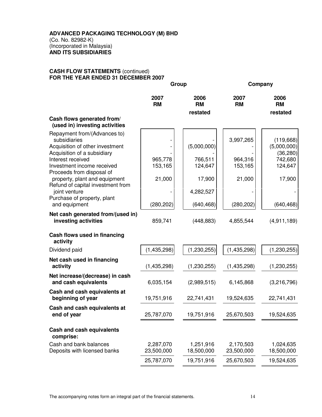#### **CASH FLOW STATEMENTS** (continued) **FOR THE YEAR ENDED 31 DECEMBER 2007**

|                                                                                   |                         | Group                   |                         | Company                  |  |
|-----------------------------------------------------------------------------------|-------------------------|-------------------------|-------------------------|--------------------------|--|
|                                                                                   | 2007<br><b>RM</b>       | 2006<br><b>RM</b>       | 2007<br><b>RM</b>       | 2006<br><b>RM</b>        |  |
|                                                                                   |                         | restated                |                         | restated                 |  |
| Cash flows generated from/<br>(used in) investing activities                      |                         |                         |                         |                          |  |
| Repayment from/(Advances to)<br>subsidiaries<br>Acquisition of other investment   |                         | (5,000,000)             | 3,997,265               | (119,668)<br>(5,000,000) |  |
| Acquisition of a subsidiary                                                       |                         |                         |                         | (36, 280)                |  |
| Interest received                                                                 | 965,778                 | 766,511                 | 964,316                 | 742,680                  |  |
| Investment income received<br>Proceeds from disposal of                           | 153,165                 | 124,647                 | 153,165                 | 124,647                  |  |
| property, plant and equipment                                                     | 21,000                  | 17,900                  | 21,000                  | 17,900                   |  |
| Refund of capital investment from<br>joint venture<br>Purchase of property, plant |                         | 4,282,527               |                         |                          |  |
| and equipment                                                                     | (280, 202)              | (640, 468)              | (280, 202)              | (640, 468)               |  |
| Net cash generated from/(used in)<br>investing activities                         | 859,741                 | (448, 883)              | 4,855,544               | (4,911,189)              |  |
| Cash flows used in financing<br>activity                                          |                         |                         |                         |                          |  |
| Dividend paid                                                                     | (1,435,298)             | (1, 230, 255)           | (1,435,298)             | (1,230,255)              |  |
| Net cash used in financing<br>activity                                            | (1,435,298)             | (1, 230, 255)           | (1,435,298)             | (1,230,255)              |  |
| Net increase/(decrease) in cash<br>and cash equivalents                           | 6,035,154               | (2,989,515)             | 6,145,868               | (3,216,796)              |  |
| Cash and cash equivalents at<br>beginning of year                                 | 19,751,916              | 22,741,431              | 19,524,635              | 22,741,431               |  |
| Cash and cash equivalents at<br>end of year                                       | 25,787,070              | 19,751,916              | 25,670,503              | 19,524,635               |  |
| <b>Cash and cash equivalents</b><br>comprise:                                     |                         |                         |                         |                          |  |
| Cash and bank balances<br>Deposits with licensed banks                            | 2,287,070<br>23,500,000 | 1,251,916<br>18,500,000 | 2,170,503<br>23,500,000 | 1,024,635<br>18,500,000  |  |
|                                                                                   | 25,787,070              | 19,751,916              | 25,670,503              | 19,524,635               |  |
|                                                                                   |                         |                         |                         |                          |  |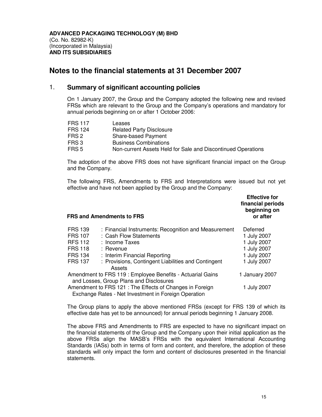### **Notes to the financial statements at 31 December 2007**

#### 1. **Summary of significant accounting policies**

On 1 January 2007, the Group and the Company adopted the following new and revised FRSs which are relevant to the Group and the Company's operations and mandatory for annual periods beginning on or after 1 October 2006:

| <b>FRS 117</b> | Leases                                                       |
|----------------|--------------------------------------------------------------|
| <b>FRS 124</b> | <b>Related Party Disclosure</b>                              |
| FRS 2          | Share-based Payment                                          |
| FRS 3          | <b>Business Combinations</b>                                 |
| FRS 5          | Non-current Assets Held for Sale and Discontinued Operations |

The adoption of the above FRS does not have significant financial impact on the Group and the Company.

The following FRS, Amendments to FRS and Interpretations were issued but not yet effective and have not been applied by the Group and the Company:

| <b>Effective for</b> |  |  |  |
|----------------------|--|--|--|
| financial periods    |  |  |  |
| beginning on         |  |  |  |
| or after             |  |  |  |

#### **FRS and Amendments to FRS**

| <b>FRS 139</b> | : Financial Instruments: Recognition and Measurement       | Deferred       |
|----------------|------------------------------------------------------------|----------------|
| <b>FRS 107</b> | : Cash Flow Statements                                     | 1 July 2007    |
| <b>RFS 112</b> | : Income Taxes                                             | 1 July 2007    |
| <b>FRS 118</b> | $:$ Revenue                                                | 1 July 2007    |
| <b>FRS 134</b> | : Interim Financial Reporting                              | 1 July 2007    |
| <b>FRS 137</b> | : Provisions, Contingent Liabilities and Contingent        | 1 July 2007    |
|                | Assets                                                     |                |
|                | Amendment to FRS 119 : Employee Benefits - Actuarial Gains | 1 January 2007 |
|                | and Losses, Group Plans and Disclosures                    |                |
|                | Amendment to FRS 121 : The Effects of Changes in Foreign   | 1 July 2007    |
|                | Exchange Rates - Net Investment in Foreign Operation       |                |

The Group plans to apply the above mentioned FRSs (except for FRS 139 of which its effective date has yet to be announced) for annual periods beginning 1 January 2008.

The above FRS and Amendments to FRS are expected to have no significant impact on the financial statements of the Group and the Company upon their initial application as the above FRSs align the MASB's FRSs with the equivalent International Accounting Standards (IASs) both in terms of form and content, and therefore, the adoption of these standards will only impact the form and content of disclosures presented in the financial statements.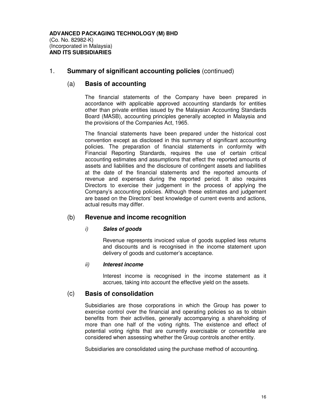#### (a) **Basis of accounting**

The financial statements of the Company have been prepared in accordance with applicable approved accounting standards for entities other than private entities issued by the Malaysian Accounting Standards Board (MASB), accounting principles generally accepted in Malaysia and the provisions of the Companies Act, 1965.

The financial statements have been prepared under the historical cost convention except as disclosed in this summary of significant accounting policies. The preparation of financial statements in conformity with Financial Reporting Standards, requires the use of certain critical accounting estimates and assumptions that effect the reported amounts of assets and liabilities and the disclosure of contingent assets and liabilities at the date of the financial statements and the reported amounts of revenue and expenses during the reported period. It also requires Directors to exercise their judgement in the process of applying the Company's accounting policies. Although these estimates and judgement are based on the Directors' best knowledge of current events and actions, actual results may differ.

#### (b) **Revenue and income recognition**

#### i) **Sales of goods**

Revenue represents invoiced value of goods supplied less returns and discounts and is recognised in the income statement upon delivery of goods and customer's acceptance.

#### ii) **Interest income**

Interest income is recognised in the income statement as it accrues, taking into account the effective yield on the assets.

#### (c) **Basis of consolidation**

Subsidiaries are those corporations in which the Group has power to exercise control over the financial and operating policies so as to obtain benefits from their activities, generally accompanying a shareholding of more than one half of the voting rights. The existence and effect of potential voting rights that are currently exercisable or convertible are considered when assessing whether the Group controls another entity.

Subsidiaries are consolidated using the purchase method of accounting.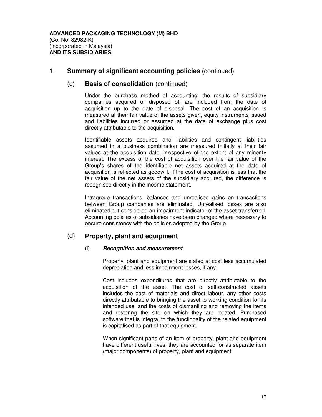#### (c) **Basis of consolidation** (continued)

Under the purchase method of accounting, the results of subsidiary companies acquired or disposed off are included from the date of acquisition up to the date of disposal. The cost of an acquisition is measured at their fair value of the assets given, equity instruments issued and liabilities incurred or assumed at the date of exchange plus cost directly attributable to the acquisition.

Identifiable assets acquired and liabilities and contingent liabilities assumed in a business combination are measured initially at their fair values at the acquisition date, irrespective of the extent of any minority interest. The excess of the cost of acquisition over the fair value of the Group's shares of the identifiable net assets acquired at the date of acquisition is reflected as goodwill. If the cost of acquisition is less that the fair value of the net assets of the subsidiary acquired, the difference is recognised directly in the income statement.

Intragroup transactions, balances and unrealised gains on transactions between Group companies are eliminated. Unrealised losses are also eliminated but considered an impairment indicator of the asset transferred. Accounting policies of subsidiaries have been changed where necessary to ensure consistency with the policies adopted by the Group.

### (d) **Property, plant and equipment**

#### (i) **Recognition and measurement**

Property, plant and equipment are stated at cost less accumulated depreciation and less impairment losses, if any.

Cost includes expenditures that are directly attributable to the acquisition of the asset. The cost of self-constructed assets includes the cost of materials and direct labour, any other costs directly attributable to bringing the asset to working condition for its intended use, and the costs of dismantling and removing the items and restoring the site on which they are located. Purchased software that is integral to the functionality of the related equipment is capitalised as part of that equipment.

When significant parts of an item of property, plant and equipment have different useful lives, they are accounted for as separate item (major components) of property, plant and equipment.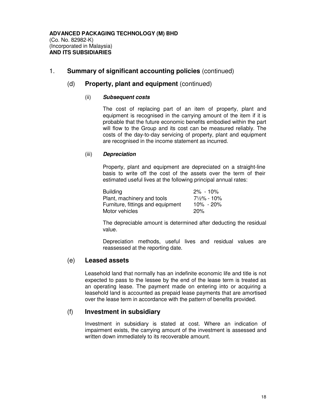#### (d) **Property, plant and equipment** (continued)

#### (ii) **Subsequent costs**

The cost of replacing part of an item of property, plant and equipment is recognised in the carrying amount of the item if it is probable that the future economic benefits embodied within the part will flow to the Group and its cost can be measured reliably. The costs of the day-to-day servicing of property, plant and equipment are recognised in the income statement as incurred.

#### (iii) **Depreciation**

Property, plant and equipment are depreciated on a straight-line basis to write off the cost of the assets over the term of their estimated useful lives at the following principal annual rates:

| <b>Building</b>                   | $2\%$ - 10%            |
|-----------------------------------|------------------------|
| Plant, machinery and tools        | $7\frac{1}{2}\%$ - 10% |
| Furniture, fittings and equipment | 10% - 20%              |
| Motor vehicles                    | 20%                    |

The depreciable amount is determined after deducting the residual value.

Depreciation methods, useful lives and residual values are reassessed at the reporting date.

#### (e) **Leased assets**

Leasehold land that normally has an indefinite economic life and title is not expected to pass to the lessee by the end of the lease term is treated as an operating lease. The payment made on entering into or acquiring a leasehold land is accounted as prepaid lease payments that are amortised over the lease term in accordance with the pattern of benefits provided.

#### (f) **Investment in subsidiary**

Investment in subsidiary is stated at cost. Where an indication of impairment exists, the carrying amount of the investment is assessed and written down immediately to its recoverable amount.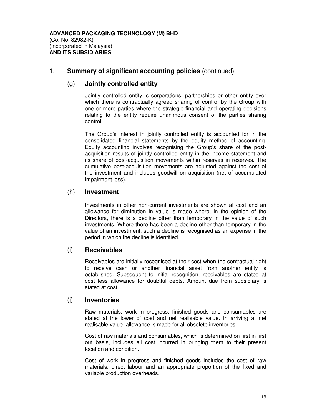#### (g) **Jointly controlled entity**

Jointly controlled entity is corporations, partnerships or other entity over which there is contractually agreed sharing of control by the Group with one or more parties where the strategic financial and operating decisions relating to the entity require unanimous consent of the parties sharing control.

The Group's interest in jointly controlled entity is accounted for in the consolidated financial statements by the equity method of accounting. Equity accounting involves recognising the Group's share of the postacquisition results of jointly controlled entity in the income statement and its share of post-acquisition movements within reserves in reserves. The cumulative post-acquisition movements are adjusted against the cost of the investment and includes goodwill on acquisition (net of accumulated impairment loss).

#### (h) **Investment**

Investments in other non-current investments are shown at cost and an allowance for diminution in value is made where, in the opinion of the Directors, there is a decline other than temporary in the value of such investments. Where there has been a decline other than temporary in the value of an investment, such a decline is recognised as an expense in the period in which the decline is identified.

#### (i) **Receivables**

Receivables are initially recognised at their cost when the contractual right to receive cash or another financial asset from another entity is established. Subsequent to initial recognition, receivables are stated at cost less allowance for doubtful debts. Amount due from subsidiary is stated at cost.

#### (j) **Inventories**

Raw materials, work in progress, finished goods and consumables are stated at the lower of cost and net realisable value. In arriving at net realisable value, allowance is made for all obsolete inventories.

Cost of raw materials and consumables, which is determined on first in first out basis, includes all cost incurred in bringing them to their present location and condition.

Cost of work in progress and finished goods includes the cost of raw materials, direct labour and an appropriate proportion of the fixed and variable production overheads.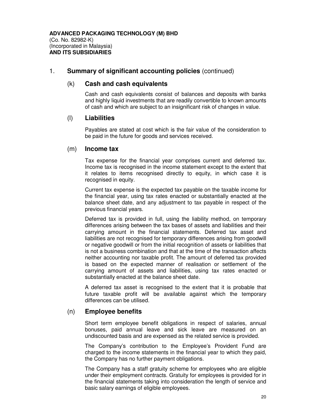#### (k) **Cash and cash equivalents**

Cash and cash equivalents consist of balances and deposits with banks and highly liquid investments that are readily convertible to known amounts of cash and which are subject to an insignificant risk of changes in value.

#### (l) **Liabilities**

Payables are stated at cost which is the fair value of the consideration to be paid in the future for goods and services received.

#### (m) **Income tax**

Tax expense for the financial year comprises current and deferred tax. Income tax is recognised in the income statement except to the extent that it relates to items recognised directly to equity, in which case it is recognised in equity.

Current tax expense is the expected tax payable on the taxable income for the financial year, using tax rates enacted or substantially enacted at the balance sheet date, and any adjustment to tax payable in respect of the previous financial years.

Deferred tax is provided in full, using the liability method, on temporary differences arising between the tax bases of assets and liabilities and their carrying amount in the financial statements. Deferred tax asset and liabilities are not recognised for temporary differences arising from goodwill or negative goodwill or from the initial recognition of assets or liabilities that is not a business combination and that at the time of the transaction affects neither accounting nor taxable profit. The amount of deferred tax provided is based on the expected manner of realisation or settlement of the carrying amount of assets and liabilities, using tax rates enacted or substantially enacted at the balance sheet date.

A deferred tax asset is recognised to the extent that it is probable that future taxable profit will be available against which the temporary differences can be utilised.

#### (n) **Employee benefits**

Short term employee benefit obligations in respect of salaries, annual bonuses, paid annual leave and sick leave are measured on an undiscounted basis and are expensed as the related service is provided.

The Company's contribution to the Employee's Provident Fund are charged to the income statements in the financial year to which they paid, the Company has no further payment obligations.

The Company has a staff gratuity scheme for employees who are eligible under their employment contracts. Gratuity for employees is provided for in the financial statements taking into consideration the length of service and basic salary earnings of eligible employees.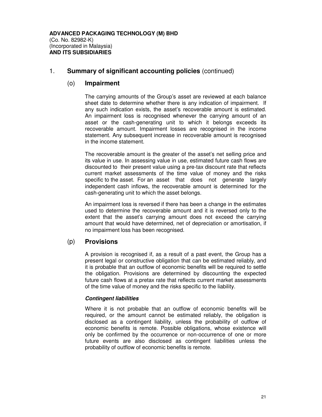#### (o) **Impairment**

The carrying amounts of the Group's asset are reviewed at each balance sheet date to determine whether there is any indication of impairment. If any such indication exists, the asset's recoverable amount is estimated. An impairment loss is recognised whenever the carrying amount of an asset or the cash-generating unit to which it belongs exceeds its recoverable amount. Impairment losses are recognised in the income statement. Any subsequent increase in recoverable amount is recognised in the income statement.

The recoverable amount is the greater of the asset's net selling price and its value in use. In assessing value in use, estimated future cash flows are discounted to their present value using a pre-tax discount rate that reflects current market assessments of the time value of money and the risks specific to the asset. For an asset that does not generate largely independent cash inflows, the recoverable amount is determined for the cash-generating unit to which the asset belongs.

An impairment loss is reversed if there has been a change in the estimates used to determine the recoverable amount and it is reversed only to the extent that the asset's carrying amount does not exceed the carrying amount that would have determined, net of depreciation or amortisation, if no impairment loss has been recognised.

#### (p) **Provisions**

A provision is recognised if, as a result of a past event, the Group has a present legal or constructive obligation that can be estimated reliably, and it is probable that an outflow of economic benefits will be required to settle the obligation. Provisions are determined by discounting the expected future cash flows at a pretax rate that reflects current market assessments of the time value of money and the risks specific to the liability.

#### **Contingent liabilities**

Where it is not probable that an outflow of economic benefits will be required, or the amount cannot be estimated reliably, the obligation is disclosed as a contingent liability, unless the probability of outflow of economic benefits is remote. Possible obligations, whose existence will only be confirmed by the occurrence or non-occurrence of one or more future events are also disclosed as contingent liabilities unless the probability of outflow of economic benefits is remote.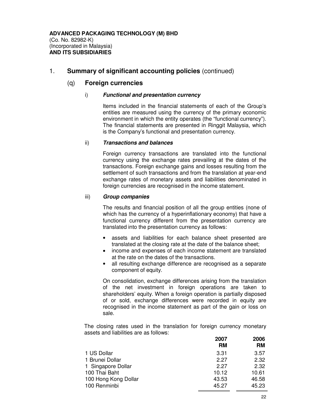#### (q) **Foreign currencies**

#### i) **Functional and presentation currency**

Items included in the financial statements of each of the Group's entities are measured using the currency of the primary economic environment in which the entity operates (the "functional currency"). The financial statements are presented in Ringgit Malaysia, which is the Company's functional and presentation currency.

#### ii) **Transactions and balances**

Foreign currency transactions are translated into the functional currency using the exchange rates prevailing at the dates of the transactions. Foreign exchange gains and losses resulting from the settlement of such transactions and from the translation at year-end exchange rates of monetary assets and liabilities denominated in foreign currencies are recognised in the income statement.

#### iii) **Group companies**

The results and financial position of all the group entities (none of which has the currency of a hyperinflationary economy) that have a functional currency different from the presentation currency are translated into the presentation currency as follows:

- assets and liabilities for each balance sheet presented are translated at the closing rate at the date of the balance sheet;
- income and expenses of each income statement are translated at the rate on the dates of the transactions.
- all resulting exchange difference are recognised as a separate component of equity.

On consolidation, exchange differences arising from the translation of the net investment in foreign operations are taken to shareholders' equity. When a foreign operation is partially disposed of or sold, exchange differences were recorded in equity are recognised in the income statement as part of the gain or loss on sale.

The closing rates used in the translation for foreign currency monetary assets and liabilities are as follows:

|                      | 2007<br>RM | 2006<br>RM |
|----------------------|------------|------------|
| 1 US Dollar          | 3.31       | 3.57       |
| 1 Brunei Dollar      | 2.27       | 2.32       |
| 1 Singapore Dollar   | 227        | 2.32       |
| 100 Thai Baht        | 10.12      | 10.61      |
| 100 Hong Kong Dollar | 43.53      | 46.58      |
| 100 Renminbi         | 45.27      | 45.23      |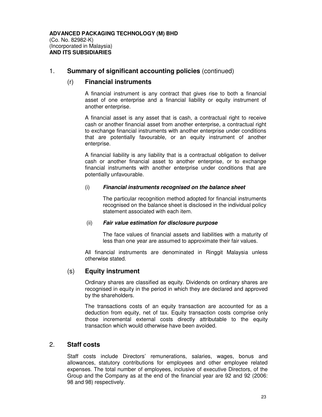#### (r) **Financial instruments**

A financial instrument is any contract that gives rise to both a financial asset of one enterprise and a financial liability or equity instrument of another enterprise.

A financial asset is any asset that is cash, a contractual right to receive cash or another financial asset from another enterprise, a contractual right to exchange financial instruments with another enterprise under conditions that are potentially favourable, or an equity instrument of another enterprise.

A financial liability is any liability that is a contractual obligation to deliver cash or another financial asset to another enterprise, or to exchange financial instruments with another enterprise under conditions that are potentially unfavourable.

#### (i) **Financial instruments recognised on the balance sheet**

The particular recognition method adopted for financial instruments recognised on the balance sheet is disclosed in the individual policy statement associated with each item.

#### (ii) **Fair value estimation for disclosure purpose**

The face values of financial assets and liabilities with a maturity of less than one year are assumed to approximate their fair values.

All financial instruments are denominated in Ringgit Malaysia unless otherwise stated.

#### (s) **Equity instrument**

Ordinary shares are classified as equity. Dividends on ordinary shares are recognised in equity in the period in which they are declared and approved by the shareholders.

The transactions costs of an equity transaction are accounted for as a deduction from equity, net of tax. Equity transaction costs comprise only those incremental external costs directly attributable to the equity transaction which would otherwise have been avoided.

#### 2. **Staff costs**

Staff costs include Directors' remunerations, salaries, wages, bonus and allowances, statutory contributions for employees and other employee related expenses. The total number of employees, inclusive of executive Directors, of the Group and the Company as at the end of the financial year are 92 and 92 (2006: 98 and 98) respectively.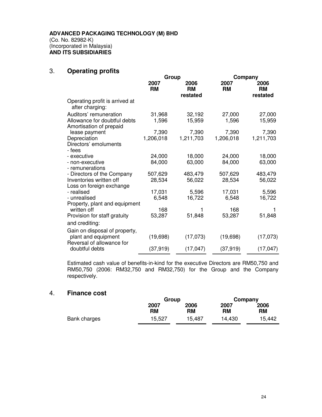### 3. **Operating profits**

|                                                                                   | Group              |                        | Company            |                        |
|-----------------------------------------------------------------------------------|--------------------|------------------------|--------------------|------------------------|
|                                                                                   | 2007<br><b>RM</b>  | 2006<br>RM<br>restated | 2007<br><b>RM</b>  | 2006<br>RM<br>restated |
| Operating profit is arrived at<br>after charging:                                 |                    |                        |                    |                        |
| Auditors' remuneration<br>Allowance for doubtful debts<br>Amortisation of prepaid | 31,968<br>1,596    | 32,192<br>15,959       | 27,000<br>1,596    | 27,000<br>15,959       |
| lease payment<br>Depreciation<br>Directors' emoluments                            | 7,390<br>1,206,018 | 7,390<br>1,211,703     | 7,390<br>1,206,018 | 7,390<br>1,211,703     |
| - fees<br>- executive<br>- non-executive<br>- remunerations                       | 24,000<br>84,000   | 18,000<br>63,000       | 24,000<br>84,000   | 18,000<br>63,000       |
| - Directors of the Company<br>Inventories written off<br>Loss on foreign exchange | 507,629<br>28,534  | 483,479<br>56,022      | 507,629<br>28,534  | 483,479<br>56,022      |
| - realised<br>- unrealised<br>Property, plant and equipment                       | 17,031<br>6,548    | 5,596<br>16,722        | 17,031<br>6,548    | 5,596<br>16,722        |
| written off<br>Provision for staff gratuity<br>and crediting:                     | 168<br>53,287      | 51,848                 | 168<br>53,287      | 51,848                 |
| Gain on disposal of property,<br>plant and equipment<br>Reversal of allowance for | (19, 698)          | (17,073)               | (19,698)           | (17,073)               |
| doubtful debts                                                                    | (37, 919)          | (17, 047)              | (37, 919)          | (17, 047)              |

Estimated cash value of benefits-in-kind for the executive Directors are RM50,750 and RM50,750 (2006: RM32,750 and RM32,750) for the Group and the Company respectively.

### 4. **Finance cost**

|              |            | Group      |            | Company           |
|--------------|------------|------------|------------|-------------------|
|              | 2007<br>RM | 2006<br>RM | 2007<br>RM | 2006<br><b>RM</b> |
| Bank charges | 15,527     | 15,487     | 14.430     | 15.442            |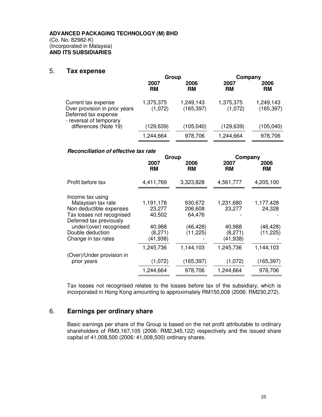#### 5. **Tax expense**

|                                                                                                         | Group                |                         | Company              |                         |
|---------------------------------------------------------------------------------------------------------|----------------------|-------------------------|----------------------|-------------------------|
|                                                                                                         | 2007<br><b>RM</b>    | 2006<br>RM              | 2007<br>RM           | 2006<br><b>RM</b>       |
| Current tax expense<br>Over provision in prior years<br>Deferred tax expense<br>- reversal of temporary | 1,375,375<br>(1,072) | 1,249,143<br>(165, 397) | 1,375,375<br>(1,072) | 1,249,143<br>(165, 397) |
| differences (Note 19)                                                                                   | (129,639)            | (105, 040)              | (129, 639)           | (105, 040)              |
|                                                                                                         | 1,244,664            | 978,706                 | 1,244,664            | 978,706                 |

#### **Reconciliation of effective tax rate**

|                                                                                                                                                                                                 | Group                                                           |                                                        | Company                                               |                                              |  |
|-------------------------------------------------------------------------------------------------------------------------------------------------------------------------------------------------|-----------------------------------------------------------------|--------------------------------------------------------|-------------------------------------------------------|----------------------------------------------|--|
|                                                                                                                                                                                                 | 2007<br>RM                                                      | 2006<br><b>RM</b>                                      | 2007<br>RМ                                            | 2006<br>RM                                   |  |
| Profit before tax                                                                                                                                                                               | 4,411,769                                                       | 3,323,828                                              | 4,561,777                                             | 4,205,100                                    |  |
| Income tax using<br>Malaysian tax rate<br>Non deductible expenses<br>Tax losses not recognised<br>Deferred tax previously<br>under/(over) recognised<br>Double deduction<br>Change in tax rates | 1,191,178<br>23,277<br>40,502<br>40,988<br>(8,271)<br>(41, 938) | 930,672<br>206,608<br>64,476<br>(46, 428)<br>(11, 225) | 1,231,680<br>23,277<br>40,988<br>(8,271)<br>(41, 938) | 1,177,428<br>24,328<br>(46,428)<br>(11, 225) |  |
| (Over)/Under provision in<br>prior years                                                                                                                                                        | 1,245,736<br>(1,072)<br>1,244,664                               | 1,144,103<br>(165, 397)<br>978,706                     | 1,245,736<br>(1,072)<br>1,244,664                     | 1,144,103<br>(165, 397)<br>978,706           |  |

Tax losses not recognised relates to the losses before tax of the subsidiary, which is incorporated in Hong Kong amounting to approximately RM150,008 (2006: RM230,272).

### 6. **Earnings per ordinary share**

Basic earnings per share of the Group is based on the net profit attributable to ordinary shareholders of RM3,167,105 (2006: RM2,345,122) respectively and the issued share capital of 41,008,500 (2006: 41,008,500) ordinary shares.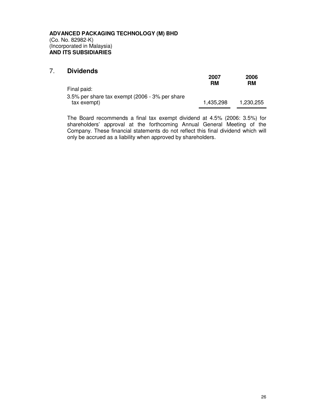### 7. **Dividends**

|                                                | 2007<br>RM | 2006<br>RM |
|------------------------------------------------|------------|------------|
| Final paid:                                    |            |            |
| 3.5% per share tax exempt (2006 - 3% per share |            |            |
| tax exempt)                                    | 1.435.298  | 1.230.255  |

The Board recommends a final tax exempt dividend at 4.5% (2006: 3.5%) for shareholders' approval at the forthcoming Annual General Meeting of the Company. These financial statements do not reflect this final dividend which will only be accrued as a liability when approved by shareholders.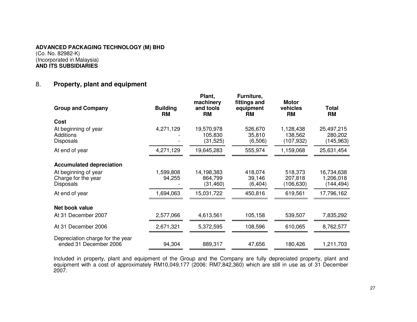### **ADVANCED PACKAGING TECHNOLOGY (M) BHD**(Co. No. 82982-K)

(Incorporated in Malaysia) **AND ITS SUBSIDIARIES**

#### 8.**Property, plant and equipment**

| <b>Group and Company</b>                                        | <b>Building</b><br><b>RM</b> | Plant,<br>machinery<br>and tools<br><b>RM</b> | Furniture,<br>fittings and<br>equipment<br><b>RM</b> | <b>Motor</b><br>vehicles<br><b>RM</b> | <b>Total</b><br><b>RM</b>             |
|-----------------------------------------------------------------|------------------------------|-----------------------------------------------|------------------------------------------------------|---------------------------------------|---------------------------------------|
| Cost                                                            |                              |                                               |                                                      |                                       |                                       |
| At beginning of year<br><b>Additions</b><br><b>Disposals</b>    | 4,271,129                    | 19,570,978<br>105,830<br>(31, 525)            | 526,670<br>35,810<br>(6,506)                         | 1,128,438<br>138,562<br>(107, 932)    | 25,497,215<br>280,202<br>(145, 963)   |
| At end of year                                                  | 4,271,129                    | 19,645,283                                    | 555,974                                              | 1,159,068                             | 25,631,454                            |
| <b>Accumulated depreciation</b>                                 |                              |                                               |                                                      |                                       |                                       |
| At beginning of year<br>Charge for the year<br><b>Disposals</b> | 1,599,808<br>94,255          | 14,198,383<br>864,799<br>(31, 460)            | 418,074<br>39,146<br>(6, 404)                        | 518,373<br>207,818<br>(106, 630)      | 16,734,638<br>1,206,018<br>(144, 494) |
| At end of year                                                  | 1,694,063                    | 15,031,722                                    | 450,816                                              | 619,561                               | 17,796,162                            |
| Net book value                                                  |                              |                                               |                                                      |                                       |                                       |
| At 31 December 2007                                             | 2,577,066                    | 4,613,561                                     | 105,158                                              | 539,507                               | 7,835,292                             |
| At 31 December 2006                                             | 2,671,321                    | 5,372,595                                     | 108,596                                              | 610,065                               | 8,762,577                             |
| Depreciation charge for the year<br>ended 31 December 2006      | 94,304                       | 889,317                                       | 47,656                                               | 180,426                               | 1,211,703                             |

Included in property, plant and equipment of the Group and the Company are fully depreciated property, plant and<br>equipment with a cost of approximately RM10,049,177 (2006: RM7,842,360) which are still in use as of 31 Decem 2007.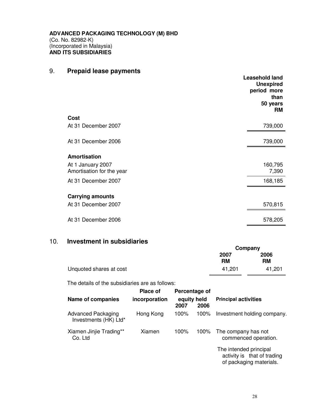## 9. **Prepaid lease payments**

|                                                | <b>Leasehold land</b><br><b>Unexpired</b><br>period more<br>than<br>50 years<br><b>RM</b> |
|------------------------------------------------|-------------------------------------------------------------------------------------------|
| Cost                                           |                                                                                           |
| At 31 December 2007                            | 739,000                                                                                   |
| At 31 December 2006                            | 739,000                                                                                   |
| Amortisation                                   |                                                                                           |
| At 1 January 2007<br>Amortisation for the year | 160,795<br>7,390                                                                          |
|                                                |                                                                                           |
| At 31 December 2007                            | 168,185                                                                                   |
| <b>Carrying amounts</b>                        |                                                                                           |
| At 31 December 2007                            | 570,815                                                                                   |
| At 31 December 2006                            | 578,205                                                                                   |

### 10. **Investment in subsidiaries**

|            | Company    |  |
|------------|------------|--|
| 2007<br>RM | 2006<br>RM |  |
| 41.201     | 41.201     |  |
|            |            |  |

The details of the subsidiaries are as follows:

| Name of companies                           | Place of<br>incorporation | Percentage of<br>equity held<br>2007 | 2006    | <b>Principal activities</b>                                                      |
|---------------------------------------------|---------------------------|--------------------------------------|---------|----------------------------------------------------------------------------------|
| Advanced Packaging<br>Investments (HK) Ltd* | Hong Kong                 | 100%                                 | $100\%$ | Investment holding company.                                                      |
| Xiamen Jinjie Trading**<br>Co. Ltd          | Xiamen                    | 100%                                 | 100%    | The company has not<br>commenced operation.                                      |
|                                             |                           |                                      |         | The intended principal<br>activity is that of trading<br>of packaging materials. |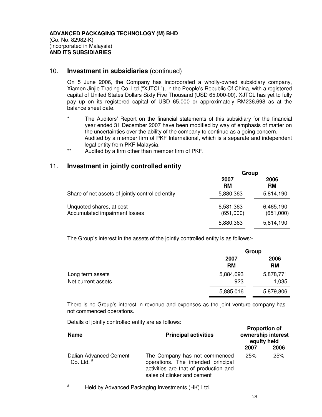#### 10. **Investment in subsidiaries** (continued)

On 5 June 2006, the Company has incorporated a wholly-owned subsidiary company, Xiamen Jinjie Trading Co. Ltd ("XJTCL"), in the People's Republic Of China, with a registered capital of United States Dollars Sixty Five Thousand (USD 65,000-00). XJTCL has yet to fully pay up on its registered capital of USD 65,000 or approximately RM236,698 as at the balance sheet date.

- The Auditors' Report on the financial statements of this subsidiary for the financial year ended 31 December 2007 have been modified by way of emphasis of matter on the uncertainties over the ability of the company to continue as a going concern. Audited by a member firm of PKF International, which is a separate and independent legal entity from PKF Malaysia.
- \*\* Audited by a firm other than member firm of PKF.

#### 11. **Investment in jointly controlled entity**

|                                                           | Group                  |                        |  |
|-----------------------------------------------------------|------------------------|------------------------|--|
|                                                           | 2007<br><b>RM</b>      | 2006<br><b>RM</b>      |  |
| Share of net assets of jointly controlled entity          | 5,880,363              | 5,814,190              |  |
| Unquoted shares, at cost<br>Accumulated impairment losses | 6,531,363<br>(651,000) | 6,465,190<br>(651,000) |  |
|                                                           | 5,880,363              | 5,814,190              |  |

The Group's interest in the assets of the jointly controlled entity is as follows:-

|                    |           | Group     |  |  |
|--------------------|-----------|-----------|--|--|
|                    | 2007      | 2006      |  |  |
|                    | <b>RM</b> | <b>RM</b> |  |  |
| Long term assets   | 5,884,093 | 5,878,771 |  |  |
| Net current assets | 923       | 1,035     |  |  |
|                    | 5,885,016 | 5,879,806 |  |  |

There is no Group's interest in revenue and expenses as the joint venture company has not commenced operations.

Details of jointly controlled entity are as follows:

| <b>Name</b>                            | <b>Principal activities</b>                                                                                                                 | <b>Proportion of</b><br>ownership interest<br>equity held |      |
|----------------------------------------|---------------------------------------------------------------------------------------------------------------------------------------------|-----------------------------------------------------------|------|
|                                        |                                                                                                                                             | 2007                                                      | 2006 |
| Dalian Advanced Cement<br>Co. Ltd. $#$ | The Company has not commenced<br>operations. The intended principal<br>activities are that of production and<br>sales of clinker and cement | 25%                                                       | 25%  |

# Held by Advanced Packaging Investments (HK) Ltd.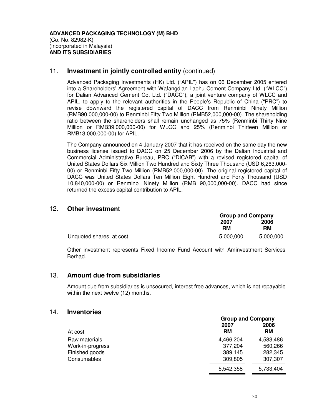#### 11. **Investment in jointly controlled entity** (continued)

Advanced Packaging Investments (HK) Ltd. ("APIL") has on 06 December 2005 entered into a Shareholders' Agreement with Wafangdian Laohu Cement Company Ltd. ("WLCC") for Dalian Advanced Cement Co. Ltd. ("DACC"), a joint venture company of WLCC and APIL, to apply to the relevant authorities in the People's Republic of China ("PRC") to revise downward the registered capital of DACC from Renminbi Ninety Million (RMB90,000,000-00) to Renminbi Fifty Two Million (RMB52,000,000-00). The shareholding ratio between the shareholders shall remain unchanged as 75% (Renminbi Thirty Nine Million or RMB39,000,000-00) for WLCC and 25% (Renminbi Thirteen Million or RMB13,000,000-00) for APIL.

The Company announced on 4 January 2007 that it has received on the same day the new business license issued to DACC on 25 December 2006 by the Dalian Industrial and Commercial Administrative Bureau, PRC ("DICAB") with a revised registered capital of United States Dollars Six Million Two Hundred and Sixty Three Thousand (USD 6,263,000- 00) or Renminbi Fifty Two Million (RMB52,000,000-00). The original registered capital of DACC was United States Dollars Ten Million Eight Hundred and Forty Thousand (USD 10,840,000-00) or Renminbi Ninety Million (RMB 90,000,000-00). DACC had since returned the excess capital contribution to APIL.

#### 12. **Other investment**

|                          |            | <b>Group and Company</b> |  |
|--------------------------|------------|--------------------------|--|
|                          | 2007<br>RM | 2006<br><b>RM</b>        |  |
| Unquoted shares, at cost | 5,000,000  | 5,000,000                |  |

Other investment represents Fixed Income Fund Account with Aminvestment Services Berhad.

#### 13. **Amount due from subsidiaries**

Amount due from subsidiaries is unsecured, interest free advances, which is not repayable within the next twelve (12) months.

#### 14. **Inventories**

|                  |           | <b>Group and Company</b> |  |
|------------------|-----------|--------------------------|--|
|                  | 2007      | 2006                     |  |
| At cost          | <b>RM</b> | <b>RM</b>                |  |
| Raw materials    | 4,466,204 | 4,583,486                |  |
| Work-in-progress | 377,204   | 560,266                  |  |
| Finished goods   | 389,145   | 282,345                  |  |
| Consumables      | 309,805   | 307,307                  |  |
|                  | 5,542,358 | 5,733,404                |  |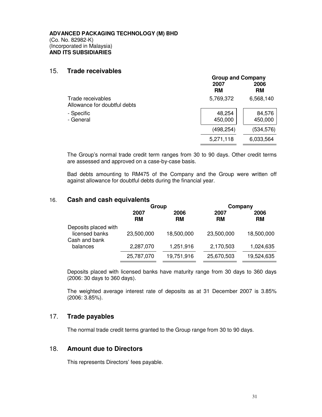#### 15. **Trade receivables**

|                                                   |                   | <b>Group and Company</b> |  |  |
|---------------------------------------------------|-------------------|--------------------------|--|--|
|                                                   | 2007<br><b>RM</b> | 2006<br>RM               |  |  |
| Trade receivables<br>Allowance for doubtful debts | 5,769,372         | 6,568,140                |  |  |
| - Specific<br>- General                           | 48,254<br>450,000 | 84,576<br>450,000        |  |  |
|                                                   | (498, 254)        | (534,576)                |  |  |
|                                                   | 5,271,118         | 6,033,564                |  |  |

The Group's normal trade credit term ranges from 30 to 90 days. Other credit terms are assessed and approved on a case-by-case basis.

Bad debts amounting to RM475 of the Company and the Group were written off against allowance for doubtful debts during the financial year.

#### 16. **Cash and cash equivalents**

|                                                         | Group             |                   |                   | Company           |
|---------------------------------------------------------|-------------------|-------------------|-------------------|-------------------|
|                                                         | 2007<br><b>RM</b> | 2006<br><b>RM</b> | 2007<br><b>RM</b> | 2006<br><b>RM</b> |
| Deposits placed with<br>licensed banks<br>Cash and bank | 23,500,000        | 18,500,000        | 23,500,000        | 18,500,000        |
| balances                                                | 2,287,070         | 1,251,916         | 2,170,503         | 1,024,635         |
|                                                         | 25,787,070        | 19,751,916        | 25,670,503        | 19,524,635        |

Deposits placed with licensed banks have maturity range from 30 days to 360 days (2006: 30 days to 360 days).

The weighted average interest rate of deposits as at 31 December 2007 is 3.85% (2006: 3.85%).

#### 17. **Trade payables**

The normal trade credit terms granted to the Group range from 30 to 90 days.

### 18. **Amount due to Directors**

This represents Directors' fees payable.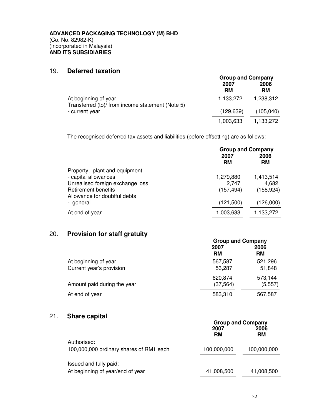### 19. **Deferred taxation**

|                                                                          | <b>Group and Company</b> |            |
|--------------------------------------------------------------------------|--------------------------|------------|
|                                                                          | 2007<br><b>RM</b>        | 2006<br>RM |
| At beginning of year<br>Transferred (to)/ from income statement (Note 5) | 1,133,272                | 1,238,312  |
| - current year                                                           | (129, 639)               | (105, 040) |
|                                                                          | 1,003,633                | 1,133,272  |

The recognised deferred tax assets and liabilities (before offsetting) are as follows:

|                                  | <b>Group and Company</b> |            |
|----------------------------------|--------------------------|------------|
|                                  | 2007                     |            |
|                                  | <b>RM</b>                | RM         |
| Property, plant and equipment    |                          |            |
| - capital allowances             | 1,279,880                | 1,413,514  |
| Unrealised foreign exchange loss | 2,747                    | 4,682      |
| <b>Retirement benefits</b>       | (157, 494)               | (158, 924) |
| Allowance for doubtful debts     |                          |            |
| - general                        | (121,500)                | (126,000)  |
| At end of year                   | 1,003,633                | 1,133,272  |

### 20. **Provision for staff gratuity**

|                                                  | <b>Group and Company</b> |                     |  |
|--------------------------------------------------|--------------------------|---------------------|--|
|                                                  | 2007<br><b>RM</b>        | 2006<br>RM          |  |
| At beginning of year<br>Current year's provision | 567,587<br>53,287        | 521,296<br>51,848   |  |
| Amount paid during the year                      | 620,874<br>(37, 564)     | 573,144<br>(5, 557) |  |
| At end of year                                   | 583,310                  | 567,587             |  |

### 21. **Share capital**

|                                                            | <b>Group and Company</b><br>2006<br>2007 |                   |  |
|------------------------------------------------------------|------------------------------------------|-------------------|--|
| Authorised:<br>100,000,000 ordinary shares of RM1 each     | <b>RM</b><br>100,000,000                 | RM<br>100,000,000 |  |
| Issued and fully paid:<br>At beginning of year/end of year | 41,008,500                               | 41,008,500        |  |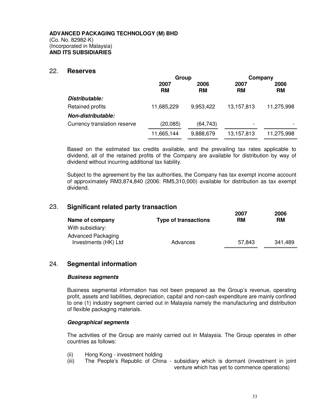#### 22. **Reserves**

|                              | Group             |                   | Company           |                   |
|------------------------------|-------------------|-------------------|-------------------|-------------------|
|                              | 2007<br><b>RM</b> | 2006<br><b>RM</b> | 2007<br><b>RM</b> | 2006<br><b>RM</b> |
| Distributable:               |                   |                   |                   |                   |
| Retained profits             | 11,685,229        | 9,953,422         | 13,157,813        | 11,275,998        |
| Non-distributable:           |                   |                   |                   |                   |
| Currency translation reserve | (20,085)          | (64, 743)         |                   |                   |
|                              | 11,665,144        | 9,888,679         | 13,157,813        | 11,275,998        |

Based on the estimated tax credits available, and the prevailing tax rates applicable to dividend, all of the retained profits of the Company are available for distribution by way of dividend without incurring additional tax liability.

Subject to the agreement by the tax authorities, the Company has tax exempt income account of approximately RM3,874,840 (2006: RM5,310,000) available for distribution as tax exempt dividend.

#### 23. **Significant related party transaction**

| Name of company      | Type of transactions | 2007<br>RM | 2006<br>RM |
|----------------------|----------------------|------------|------------|
| With subsidiary:     |                      |            |            |
| Advanced Packaging   |                      |            |            |
| Investments (HK) Ltd | Advances             | 57.843     | 341,489    |

### 24. **Segmental information**

#### **Business segments**

Business segmental information has not been prepared as the Group's revenue, operating profit, assets and liabilities, depreciation, capital and non-cash expenditure are mainly confined to one (1) industry segment carried out in Malaysia namely the manufacturing and distribution of flexible packaging materials.

#### **Geographical segments**

The activities of the Group are mainly carried out in Malaysia. The Group operates in other countries as follows:

- (ii) Hong Kong investment holding
- (iii) The People's Republic of China subsidiary which is dormant (investment in joint venture which has yet to commence operations)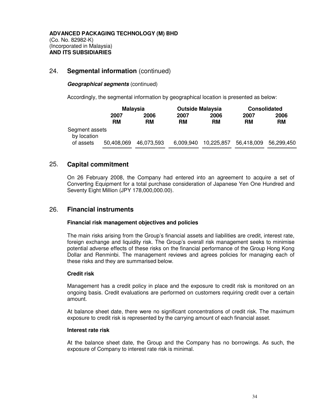### 24. **Segmental information** (continued)

#### **Geographical segments** (continued)

Accordingly, the segmental information by geographical location is presented as below:

|                               | <b>Malaysia</b> |            | <b>Outside Malaysia</b> |            | <b>Consolidated</b> |            |
|-------------------------------|-----------------|------------|-------------------------|------------|---------------------|------------|
|                               | 2007            | 2006       | 2007                    | 2006       | 2007                | 2006       |
|                               | <b>RM</b>       | RM         | <b>RM</b>               | <b>RM</b>  | <b>RM</b>           | <b>RM</b>  |
| Segment assets<br>by location |                 |            |                         |            |                     |            |
| of assets                     | 50,408,069      | 46,073,593 | 6,009,940               | 10,225,857 | 56,418,009          | 56,299,450 |

### 25. **Capital commitment**

On 26 February 2008, the Company had entered into an agreement to acquire a set of Converting Equipment for a total purchase consideration of Japanese Yen One Hundred and Seventy Eight Million (JPY 178,000,000.00).

#### 26. **Financial instruments**

#### **Financial risk management objectives and policies**

The main risks arising from the Group's financial assets and liabilities are credit, interest rate, foreign exchange and liquidity risk. The Group's overall risk management seeks to minimise potential adverse effects of these risks on the financial performance of the Group Hong Kong Dollar and Renminbi. The management reviews and agrees policies for managing each of these risks and they are summarised below.

#### **Credit risk**

Management has a credit policy in place and the exposure to credit risk is monitored on an ongoing basis. Credit evaluations are performed on customers requiring credit over a certain amount.

At balance sheet date, there were no significant concentrations of credit risk. The maximum exposure to credit risk is represented by the carrying amount of each financial asset.

#### **Interest rate risk**

At the balance sheet date, the Group and the Company has no borrowings. As such, the exposure of Company to interest rate risk is minimal.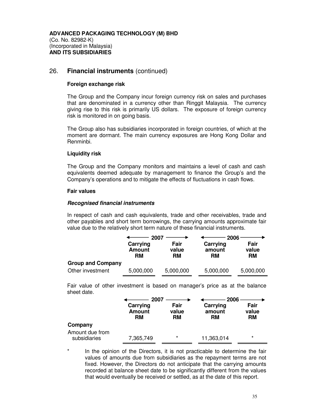#### 26. **Financial instruments** (continued)

#### **Foreign exchange risk**

The Group and the Company incur foreign currency risk on sales and purchases that are denominated in a currency other than Ringgit Malaysia. The currency giving rise to this risk is primarily US dollars. The exposure of foreign currency risk is monitored in on going basis.

The Group also has subsidiaries incorporated in foreign countries, of which at the moment are dormant. The main currency exposures are Hong Kong Dollar and Renminbi.

#### **Liquidity risk**

The Group and the Company monitors and maintains a level of cash and cash equivalents deemed adequate by management to finance the Group's and the Company's operations and to mitigate the effects of fluctuations in cash flows.

#### **Fair values**

#### **Recognised financial instruments**

In respect of cash and cash equivalents, trade and other receivables, trade and other payables and short term borrowings, the carrying amounts approximate fair value due to the relatively short term nature of these financial instruments.

|                          | 2007                            |                     | 2006                     |                            |
|--------------------------|---------------------------------|---------------------|--------------------------|----------------------------|
|                          | Carrying<br><b>Amount</b><br>RM | Fair<br>value<br>RM | Carrying<br>amount<br>RM | Fair<br>value<br><b>RM</b> |
| <b>Group and Company</b> |                                 |                     |                          |                            |
| Other investment         | 5,000,000                       | 5,000,000           | 5,000,000                | 5,000,000                  |

Fair value of other investment is based on manager's price as at the balance sheet date.

|                                 | 2007                            |                            | 2006                     |                            |
|---------------------------------|---------------------------------|----------------------------|--------------------------|----------------------------|
|                                 | Carrying<br><b>Amount</b><br>RM | Fair<br>value<br><b>RM</b> | Carrying<br>amount<br>RM | Fair<br>value<br><b>RM</b> |
| Company                         |                                 |                            |                          |                            |
| Amount due from<br>subsidiaries | 7,365,749                       | $\star$                    | 11,363,014               | $\star$                    |

In the opinion of the Directors, it is not practicable to determine the fair values of amounts due from subsidiaries as the repayment terms are not fixed. However, the Directors do not anticipate that the carrying amounts recorded at balance sheet date to be significantly different from the values that would eventually be received or settled, as at the date of this report.